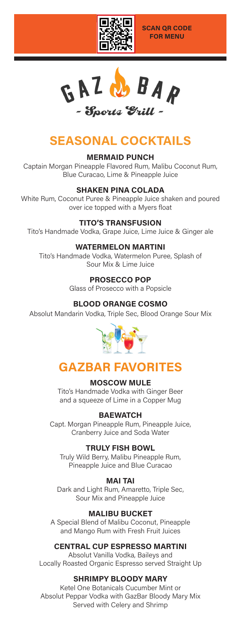

 $G A Z$ BAP - Sports *Grill -*

# **SEASONAL COCKTAILS**

**MERMAID PUNCH** Captain Morgan Pineapple Flavored Rum, Malibu Coconut Rum, Blue Curacao, Lime & Pineapple Juice

## **SHAKEN PINA COLADA**

White Rum, Coconut Puree & Pineapple Juice shaken and poured over ice topped with a Myers float

## **TITO'S TRANSFUSION**

Tito's Handmade Vodka, Grape Juice, Lime Juice & Ginger ale

## **WATERMELON MARTINI**

Tito's Handmade Vodka, Watermelon Puree, Splash of Sour Mix & Lime Juice

**PROSECCO POP**

Glass of Prosecco with a Popsicle

## **BLOOD ORANGE COSMO**

Absolut Mandarin Vodka, Triple Sec, Blood Orange Sour Mix



## **GAZBAR FAVORITES**

#### **MOSCOW MULE**

Tito's Handmade Vodka with Ginger Beer and a squeeze of Lime in a Copper Mug

## **BAEWATCH**

Capt. Morgan Pineapple Rum, Pineapple Juice, Cranberry Juice and Soda Water

## **TRULY FISH BOWL**

Truly Wild Berry, Malibu Pineapple Rum, Pineapple Juice and Blue Curacao

## **MAI TAI**

Dark and Light Rum, Amaretto, Triple Sec, Sour Mix and Pineapple Juice

## **MALIBU BUCKET**

A Special Blend of Malibu Coconut, Pineapple and Mango Rum with Fresh Fruit Juices

## **CENTRAL CUP ESPRESSO MARTINI**

Absolut Vanilla Vodka, Baileys and Locally Roasted Organic Espresso served Straight Up

## **SHRIMPY BLOODY MARY**

Ketel One Botanicals Cucumber Mint or Absolut Peppar Vodka with GazBar Bloody Mary Mix Served with Celery and Shrimp